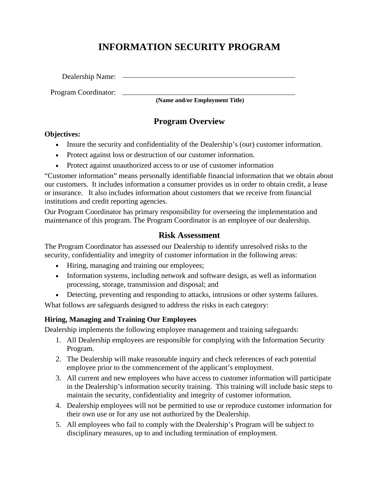# **INFORMATION SECURITY PROGRAM**

Dealership Name:

Program Coordinator:

**(Name and/or Employment Title)** 

# **Program Overview**

#### **Objectives:**

- Insure the security and confidentiality of the Dealership's (our) customer information.
- Protect against loss or destruction of our customer information.
- Protect against unauthorized access to or use of customer information

"Customer information" means personally identifiable financial information that we obtain about our customers. It includes information a consumer provides us in order to obtain credit, a lease or insurance. It also includes information about customers that we receive from financial institutions and credit reporting agencies.

Our Program Coordinator has primary responsibility for overseeing the implementation and maintenance of this program. The Program Coordinator is an employee of our dealership.

#### **Risk Assessment**

The Program Coordinator has assessed our Dealership to identify unresolved risks to the security, confidentiality and integrity of customer information in the following areas:

- Hiring, managing and training our employees;
- Information systems, including network and software design, as well as information processing, storage, transmission and disposal; and
- Detecting, preventing and responding to attacks, intrusions or other systems failures.

What follows are safeguards designed to address the risks in each category:

#### **Hiring, Managing and Training Our Employees**

Dealership implements the following employee management and training safeguards:

- 1. All Dealership employees are responsible for complying with the Information Security Program.
- 2. The Dealership will make reasonable inquiry and check references of each potential employee prior to the commencement of the applicant's employment.
- 3. All current and new employees who have access to customer information will participate in the Dealership's information security training. This training will include basic steps to maintain the security, confidentiality and integrity of customer information.
- 4. Dealership employees will not be permitted to use or reproduce customer information for their own use or for any use not authorized by the Dealership.
- 5. All employees who fail to comply with the Dealership's Program will be subject to disciplinary measures, up to and including termination of employment.